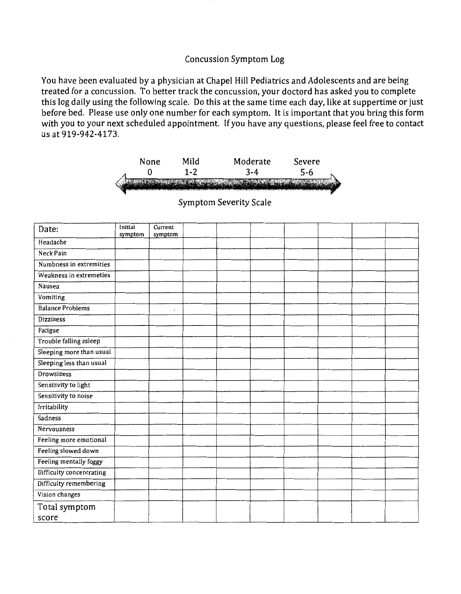## Concussion Symptom Log

You have been evaluated by a physician at Chapel Hill Pediatrics and Adolescents and are being treated for a concussion. To better track the concussion, your doctord has asked you to complete this log daily using the following scale. Do this at the same time each day, like at suppertime or just before bed. Please use only one number for each symptom. It is important that you bring this form with you to your next scheduled appointment. If you have any questions, please feel free to contact us at 919-942-4173.



| Date:                    | Initial<br>symptom | Current<br>symptom |  |  |  |  |
|--------------------------|--------------------|--------------------|--|--|--|--|
| Headache                 |                    |                    |  |  |  |  |
| Neck Pain                |                    |                    |  |  |  |  |
| Numbness in extremities  |                    |                    |  |  |  |  |
| Weakness in extremeties  |                    |                    |  |  |  |  |
| Nausea                   |                    |                    |  |  |  |  |
| Vomiting                 |                    |                    |  |  |  |  |
| <b>Balance Problems</b>  |                    | í.                 |  |  |  |  |
| <b>Dizziness</b>         |                    |                    |  |  |  |  |
| Fatigue                  |                    |                    |  |  |  |  |
| Trouble falling asleep   |                    |                    |  |  |  |  |
| Sleeping more than usual |                    |                    |  |  |  |  |
| Sleeping less than usual |                    |                    |  |  |  |  |
| Drowsiness               |                    |                    |  |  |  |  |
| Sensitivity to light     |                    |                    |  |  |  |  |
| Sensitivity to noise     |                    |                    |  |  |  |  |
| Irritability             |                    |                    |  |  |  |  |
| Sadness                  |                    |                    |  |  |  |  |
| Nervousness              |                    |                    |  |  |  |  |
| Feeling more emotional   |                    |                    |  |  |  |  |
| Feeling slowed down      |                    |                    |  |  |  |  |
| Feeling mentally foggy   |                    |                    |  |  |  |  |
| Difficulty concentrating |                    |                    |  |  |  |  |
| Difficulty remembering   |                    |                    |  |  |  |  |
| Vision changes           |                    |                    |  |  |  |  |
| Total symptom            |                    |                    |  |  |  |  |
| score                    |                    |                    |  |  |  |  |

Symptom Severity Scale